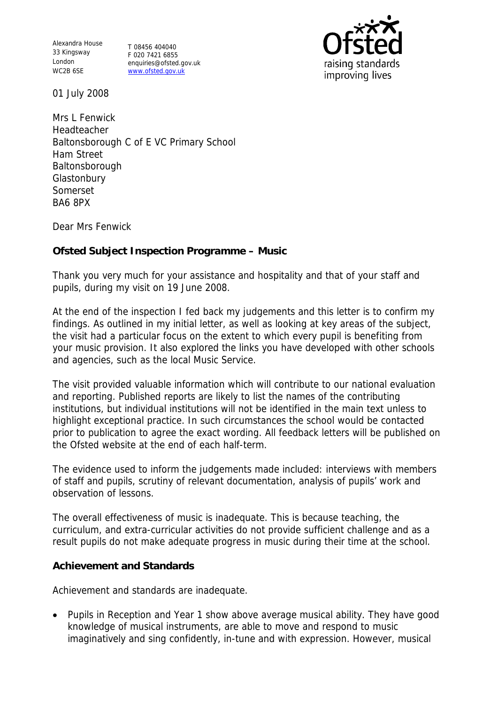Alexandra House 33 Kingsway London WC2B 6SE

T 08456 404040 F 020 7421 6855 enquiries@ofsted.gov.uk www.ofsted.gov.uk



01 July 2008

Mrs L Fenwick **Headteacher** Baltonsborough C of E VC Primary School Ham Street **Baltonsborough Glastonbury** Somerset BA6 8PX

Dear Mrs Fenwick

**Ofsted Subject Inspection Programme – Music** 

Thank you very much for your assistance and hospitality and that of your staff and pupils, during my visit on 19 June 2008.

At the end of the inspection I fed back my judgements and this letter is to confirm my findings. As outlined in my initial letter, as well as looking at key areas of the subject, the visit had a particular focus on the extent to which every pupil is benefiting from your music provision. It also explored the links you have developed with other schools and agencies, such as the local Music Service.

The visit provided valuable information which will contribute to our national evaluation and reporting. Published reports are likely to list the names of the contributing institutions, but individual institutions will not be identified in the main text unless to highlight exceptional practice. In such circumstances the school would be contacted prior to publication to agree the exact wording. All feedback letters will be published on the Ofsted website at the end of each half-term.

The evidence used to inform the judgements made included: interviews with members of staff and pupils, scrutiny of relevant documentation, analysis of pupils' work and observation of lessons.

The overall effectiveness of music is inadequate. This is because teaching, the curriculum, and extra-curricular activities do not provide sufficient challenge and as a result pupils do not make adequate progress in music during their time at the school.

## **Achievement and Standards**

Achievement and standards are inadequate.

• Pupils in Reception and Year 1 show above average musical ability. They have good knowledge of musical instruments, are able to move and respond to music imaginatively and sing confidently, in-tune and with expression. However, musical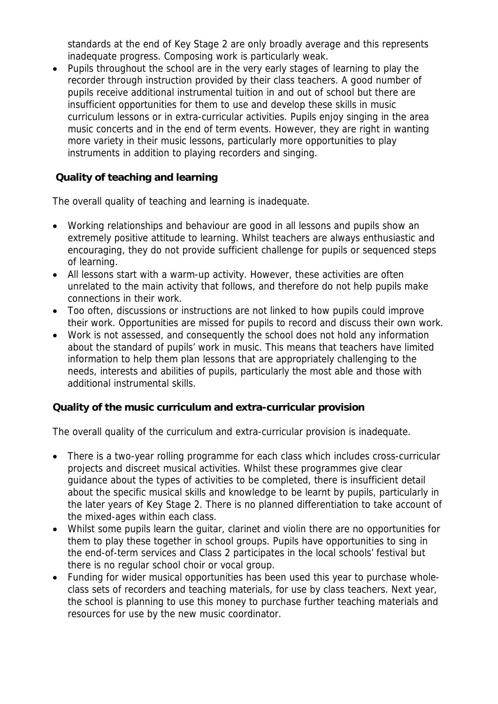standards at the end of Key Stage 2 are only broadly average and this represents inadequate progress. Composing work is particularly weak.

• Pupils throughout the school are in the very early stages of learning to play the recorder through instruction provided by their class teachers. A good number of pupils receive additional instrumental tuition in and out of school but there are insufficient opportunities for them to use and develop these skills in music curriculum lessons or in extra-curricular activities. Pupils enjoy singing in the area music concerts and in the end of term events. However, they are right in wanting more variety in their music lessons, particularly more opportunities to play instruments in addition to playing recorders and singing.

 **Quality of teaching and learning**

The overall quality of teaching and learning is inadequate.

- Working relationships and behaviour are good in all lessons and pupils show an extremely positive attitude to learning. Whilst teachers are always enthusiastic and encouraging, they do not provide sufficient challenge for pupils or sequenced steps of learning.
- All lessons start with a warm-up activity. However, these activities are often unrelated to the main activity that follows, and therefore do not help pupils make connections in their work.
- Too often, discussions or instructions are not linked to how pupils could improve their work. Opportunities are missed for pupils to record and discuss their own work.
- Work is not assessed, and consequently the school does not hold any information about the standard of pupils' work in music. This means that teachers have limited information to help them plan lessons that are appropriately challenging to the needs, interests and abilities of pupils, particularly the most able and those with additional instrumental skills.

**Quality of the music curriculum and extra-curricular provision**

The overall quality of the curriculum and extra-curricular provision is inadequate.

- There is a two-year rolling programme for each class which includes cross-curricular projects and discreet musical activities. Whilst these programmes give clear guidance about the types of activities to be completed, there is insufficient detail about the specific musical skills and knowledge to be learnt by pupils, particularly in the later years of Key Stage 2. There is no planned differentiation to take account of the mixed-ages within each class.
- Whilst some pupils learn the guitar, clarinet and violin there are no opportunities for them to play these together in school groups. Pupils have opportunities to sing in the end-of-term services and Class 2 participates in the local schools' festival but there is no regular school choir or vocal group.
- Funding for wider musical opportunities has been used this year to purchase wholeclass sets of recorders and teaching materials, for use by class teachers. Next year, the school is planning to use this money to purchase further teaching materials and resources for use by the new music coordinator.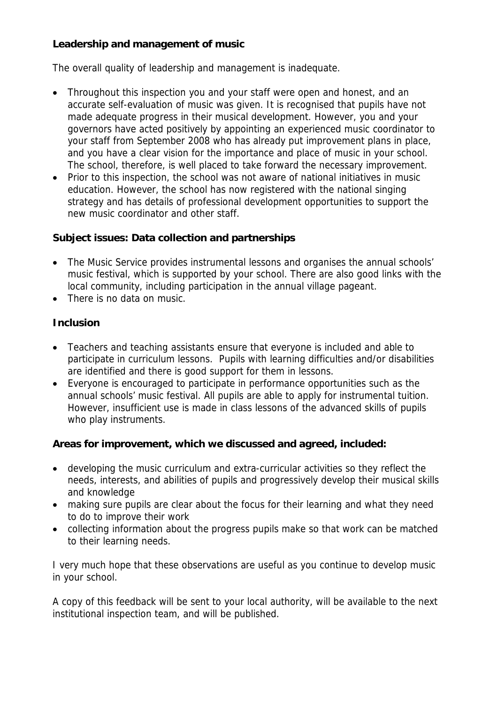**Leadership and management of music**

The overall quality of leadership and management is inadequate.

- Throughout this inspection you and your staff were open and honest, and an accurate self-evaluation of music was given. It is recognised that pupils have not made adequate progress in their musical development. However, you and your governors have acted positively by appointing an experienced music coordinator to your staff from September 2008 who has already put improvement plans in place, and you have a clear vision for the importance and place of music in your school. The school, therefore, is well placed to take forward the necessary improvement.
- Prior to this inspection, the school was not aware of national initiatives in music education. However, the school has now registered with the national singing strategy and has details of professional development opportunities to support the new music coordinator and other staff.

**Subject issues: Data collection and partnerships**

- The Music Service provides instrumental lessons and organises the annual schools' music festival, which is supported by your school. There are also good links with the local community, including participation in the annual village pageant.
- There is no data on music.

## **Inclusion**

- Teachers and teaching assistants ensure that everyone is included and able to participate in curriculum lessons. Pupils with learning difficulties and/or disabilities are identified and there is good support for them in lessons.
- Everyone is encouraged to participate in performance opportunities such as the annual schools' music festival. All pupils are able to apply for instrumental tuition. However, insufficient use is made in class lessons of the advanced skills of pupils who play instruments.

**Areas for improvement, which we discussed and agreed, included:**

- developing the music curriculum and extra-curricular activities so they reflect the needs, interests, and abilities of pupils and progressively develop their musical skills and knowledge
- making sure pupils are clear about the focus for their learning and what they need to do to improve their work
- collecting information about the progress pupils make so that work can be matched to their learning needs.

I very much hope that these observations are useful as you continue to develop music in your school.

A copy of this feedback will be sent to your local authority, will be available to the next institutional inspection team, and will be published.